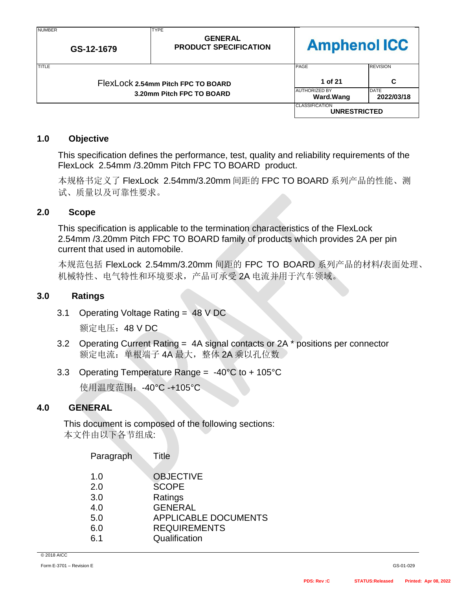| <b>NUMBER</b><br>GS-12-1679                                     | <b>TYPE</b><br><b>GENERAL</b><br><b>PRODUCT SPECIFICATION</b> | <b>Amphenol ICC</b>                          |                           |
|-----------------------------------------------------------------|---------------------------------------------------------------|----------------------------------------------|---------------------------|
| <b>TITLE</b>                                                    |                                                               | PAGE                                         | <b>REVISION</b>           |
| FlexLock 2.54mm Pitch FPC TO BOARD<br>3.20mm Pitch FPC TO BOARD |                                                               | 1 of 21                                      | C                         |
|                                                                 |                                                               | <b>AUTHORIZED BY</b><br>Ward.Wang            | <b>DATE</b><br>2022/03/18 |
|                                                                 |                                                               | <b>CLASSIFICATION</b><br><b>UNRESTRICTED</b> |                           |

### **1.0 Objective**

This specification defines the performance, test, quality and reliability requirements of the FlexLock 2.54mm /3.20mm Pitch FPC TO BOARD product.

本规格书定义了 FlexLock 2.54mm/3.20mm 间距的 FPC TO BOARD 系列产品的性能、测 试、质量以及可靠性要求。

### **2.0 Scope**

This specification is applicable to the termination characteristics of the FlexLock 2.54mm /3.20mm Pitch FPC TO BOARD family of products which provides 2A per pin current that used in [automobile.](javascript:;)

本规范包括 FlexLock 2.54mm/3.20mm 间距的 FPC TO BOARD 系列产品的材料/表面处理、 机械特性、电气特性和环境要求,产品可承受 2A 电流并用于汽车领域。

### **3.0 Ratings**

3.1 Operating Voltage Rating = 48 V DC

额定电压:48 V DC

- 3.2 Operating Current Rating = 4A signal contacts or 2A \* positions per connector 额定电流: 单根端子 4A 最大, 整体 2A 乘以孔位数
- 3.3 Operating Temperature Range = -40°C to + 105°C

使用温度范围:-40°C -+105°C

### **4.0 GENERAL**

This document is composed of the following sections: 本文件由以下各节组成:

|                                                                                                                             | Paragraph   | Title                                           |
|-----------------------------------------------------------------------------------------------------------------------------|-------------|-------------------------------------------------|
| <b>SCOPE</b><br>2.0<br>3.0<br>Ratings<br><b>GENERAL</b><br>4.0<br>5.0<br><b>REQUIREMENTS</b><br>6.0<br>Qualification<br>6.1 | 1. $\Omega$ | <b>OBJECTIVE</b><br><b>APPLICABLE DOCUMENTS</b> |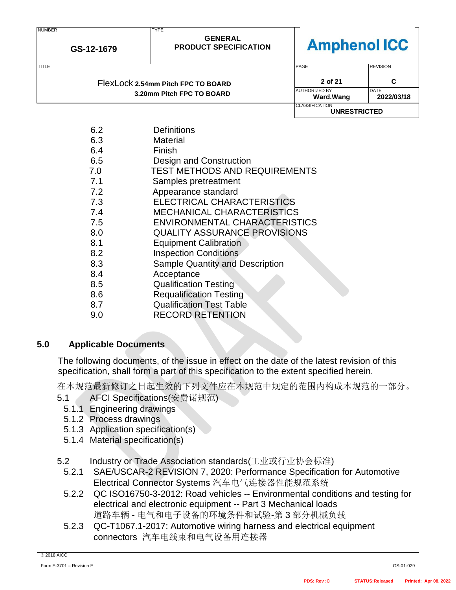| <b>NUMBER</b> |            | <b>TYPE</b>                                    |                                              |                           |
|---------------|------------|------------------------------------------------|----------------------------------------------|---------------------------|
|               | GS-12-1679 | <b>GENERAL</b><br><b>PRODUCT SPECIFICATION</b> | <b>Amphenol ICC</b>                          |                           |
| <b>TITLE</b>  |            |                                                | PAGE                                         | <b>REVISION</b>           |
|               |            | FlexLock 2.54mm Pitch FPC TO BOARD             | 2 of 21                                      | C                         |
|               |            | 3.20mm Pitch FPC TO BOARD                      | <b>AUTHORIZED BY</b><br><b>Ward.Wang</b>     | <b>DATE</b><br>2022/03/18 |
|               |            |                                                | <b>CLASSIFICATION</b><br><b>UNRESTRICTED</b> |                           |
|               | 6.2        | <b>Definitions</b>                             |                                              |                           |
|               | 6.3        | <b>Material</b>                                |                                              |                           |
|               | 6.4        | Finish                                         |                                              |                           |
|               | 6.5        | Design and Construction                        |                                              |                           |
|               | 7.0        | <b>TEST METHODS AND REQUIREMENTS</b>           |                                              |                           |
|               | 7.1        | Samples pretreatment                           |                                              |                           |
|               | 7.2        | Appearance standard                            |                                              |                           |
|               | 7.3        | ELECTRICAL CHARACTERISTICS                     |                                              |                           |
|               | 7.4        | <b>MECHANICAL CHARACTERISTICS</b>              |                                              |                           |
|               | 7.5        | ENVIRONMENTAL CHARACTERISTICS                  |                                              |                           |
|               | 8.0        | <b>QUALITY ASSURANCE PROVISIONS</b>            |                                              |                           |
|               | 8.1        | <b>Equipment Calibration</b>                   |                                              |                           |
|               | 8.2        | <b>Inspection Conditions</b>                   |                                              |                           |
|               | 8.3        | <b>Sample Quantity and Description</b>         |                                              |                           |
|               | 8.4        | Acceptance                                     |                                              |                           |
|               | 8.5        | <b>Qualification Testing</b>                   |                                              |                           |
|               | 8.6        | <b>Requalification Testing</b>                 |                                              |                           |
|               |            |                                                |                                              |                           |

- 8.7 Qualification Test Table
- 9.0 RECORD RETENTION

## **5.0 Applicable Documents**

The following documents, of the issue in effect on the date of the latest revision of this specification, shall form a part of this specification to the extent specified herein.

在本规范最新修订之日起生效的下列文件应在本规范中规定的范围内构成本规范的一部分。

- 5.1 AFCI Specifications(安费诺规范)
	- 5.1.1 Engineering drawings
	- 5.1.2 Process drawings
	- 5.1.3 Application specification(s)
	- 5.1.4 Material specification(s)
- 5.2 Industry or Trade Association standards(工业或行业协会标准)
	- 5.2.1 SAE/USCAR-2 REVISION 7, 2020: Performance Specification for Automotive Electrical Connector Systems 汽车电气连接器性能规范系统
	- 5.2.2 QC ISO16750-3-2012: Road vehicles -- Environmental conditions and testing for electrical and electronic equipment -- Part 3 Mechanical loads 道路车辆 - 电气和电子设备的环境条件和试验-第 3 部分机械负载
	- 5.2.3 QC-T1067.1-2017: Automotive wiring harness and electrical equipment connectors 汽车电线束和电气设备用连接器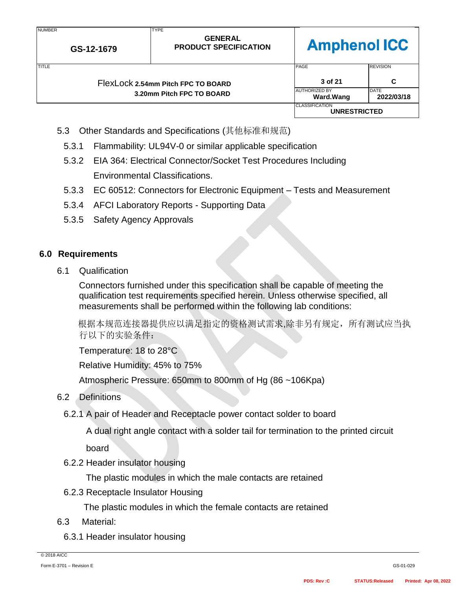| <b>IVUIVIDLIV</b><br>GS-12-1679 | . <del>.</del> .<br><b>GENERAL</b><br><b>PRODUCT SPECIFICATION</b> | <b>Amphenol ICC</b>                          |                           |
|---------------------------------|--------------------------------------------------------------------|----------------------------------------------|---------------------------|
| TITLE                           |                                                                    | PAGE                                         | <b>REVISION</b>           |
|                                 | FlexLock 2.54mm Pitch FPC TO BOARD                                 | 3 of 21                                      | C                         |
|                                 | 3.20mm Pitch FPC TO BOARD                                          | <b>AUTHORIZED BY</b><br><b>Ward.Wang</b>     | <b>DATE</b><br>2022/03/18 |
|                                 |                                                                    | <b>CLASSIFICATION</b><br><b>UNRESTRICTED</b> |                           |

5.3 Other Standards and Specifications (其他标准和规范)

**TYDE** 

- 5.3.1 Flammability: UL94V-0 or similar applicable specification
- 5.3.2 EIA 364: Electrical Connector/Socket Test Procedures Including Environmental Classifications.
- 5.3.3 EC 60512: Connectors for Electronic Equipment Tests and Measurement
- 5.3.4 AFCI Laboratory Reports Supporting Data
- 5.3.5 Safety Agency Approvals

### **6.0 Requirements**

**NUMBER** 

6.1 Qualification

Connectors furnished under this specification shall be capable of meeting the qualification test requirements specified herein. Unless otherwise specified, all measurements shall be performed within the following lab conditions:

 根据本规范连接器提供应以满足指定的资格测试需求,除非另有规定,所有测试应当执 行以下的实验条件:

Temperature: 18 to 28°C

Relative Humidity: 45% to 75%

Atmospheric Pressure: 650mm to 800mm of Hg (86 ~106Kpa)

- 6.2 Definitions
	- 6.2.1 A pair of Header and Receptacle power contact solder to board

A dual right angle contact with a solder tail for termination to the printed circuit

board

6.2.2 Header insulator housing

The plastic modules in which the male contacts are retained

6.2.3 Receptacle Insulator Housing

The plastic modules in which the female contacts are retained

- 6.3 Material:
	- 6.3.1 Header insulator housing

© 2018 AICC

┑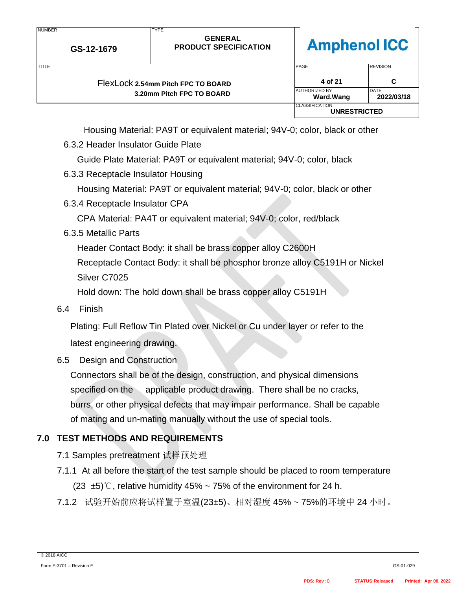| <b>NUMBER</b>             | GS-12-1679                         | <b>TYPE</b><br><b>GENERAL</b><br><b>PRODUCT SPECIFICATION</b> | <b>Amphenol ICC</b>                          |                 |
|---------------------------|------------------------------------|---------------------------------------------------------------|----------------------------------------------|-----------------|
| TITLE                     |                                    |                                                               | PAGE                                         | <b>REVISION</b> |
|                           | FlexLock 2.54mm Pitch FPC TO BOARD |                                                               | 4 of 21                                      | C               |
| 3.20mm Pitch FPC TO BOARD |                                    | <b>AUTHORIZED BY</b><br>Ward.Wang                             | <b>DATE</b><br>2022/03/18                    |                 |
|                           |                                    |                                                               | <b>CLASSIFICATION</b><br><b>UNRESTRICTED</b> |                 |

Housing Material: PA9T or equivalent material; 94V-0; color, black or other

6.3.2 Header Insulator Guide Plate

Guide Plate Material: PA9T or equivalent material; 94V-0; color, black

6.3.3 Receptacle Insulator Housing

Housing Material: PA9T or equivalent material; 94V-0; color, black or other

6.3.4 Receptacle Insulator CPA

CPA Material: PA4T or equivalent material; 94V-0; color, red/black

6.3.5 Metallic Parts

Header Contact Body: it shall be brass copper alloy C2600H

Receptacle Contact Body: it shall be phosphor bronze alloy C5191H or Nickel Silver C7025

Hold down: The hold down shall be brass copper alloy C5191H

6.4 Finish

Plating: Full Reflow Tin Plated over Nickel or Cu under layer or refer to the latest engineering drawing.

# 6.5 Design and Construction

Connectors shall be of the design, construction, and physical dimensions specified on the applicable product drawing. There shall be no cracks, burrs, or other physical defects that may impair performance. Shall be capable of mating and un-mating manually without the use of special tools.

# **7.0 TEST METHODS AND REQUIREMENTS**

- 7.1 Samples pretreatment 试样预处理
- 7.1.1 At all before the start of the test sample should be placed to room temperature (23  $\pm$ 5)°C, relative humidity 45% ~ 75% of the environment for 24 h.
- 7.1.2 试验开始前应将试样置于室温(23±5)、相对湿度 45% ~ 75%的环境中 24 小时。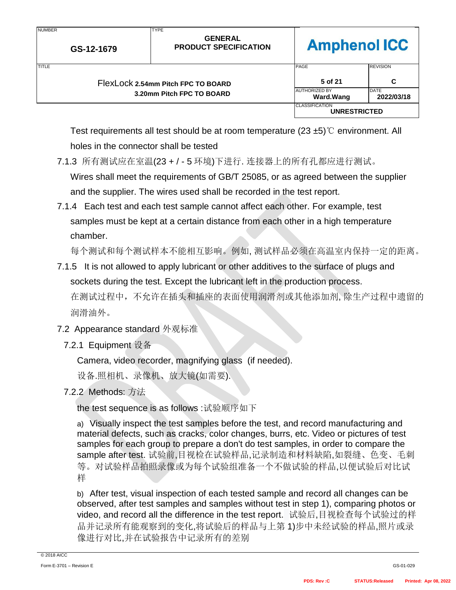| <b>NUMBER</b><br>GS-12-1679 |                                    | <b>TYPE</b><br><b>GENERAL</b><br><b>PRODUCT SPECIFICATION</b> | <b>Amphenol ICC</b>                          |                    |
|-----------------------------|------------------------------------|---------------------------------------------------------------|----------------------------------------------|--------------------|
| <b>TITLE</b>                |                                    |                                                               | PAGE                                         | <b>REVISION</b>    |
|                             | FlexLock 2.54mm Pitch FPC TO BOARD |                                                               | 5 of 21                                      | C                  |
|                             |                                    | 3.20mm Pitch FPC TO BOARD                                     | <b>AUTHORIZED BY</b><br><b>Ward.Wang</b>     | DATE<br>2022/03/18 |
|                             |                                    |                                                               | <b>CLASSIFICATION</b><br><b>UNRESTRICTED</b> |                    |

Test requirements all test should be at room temperature (23 ±5)℃ environment. All holes in the connector shall be tested

- 7.1.3 所有测试应在室温(23 + / 5 环境)下进行. 连接器上的所有孔都应进行测试。 Wires shall meet the requirements of GB/T 25085, or as agreed between the supplier and the supplier. The wires used shall be recorded in the test report.
- 7.1.4 Each test and each test sample cannot affect each other. For example, test samples must be kept at a certain distance from each other in a high temperature chamber.

每个测试和每个测试样本不能相互影响。例如, 测试样品必须在高温室内保持一定的距离。

- 7.1.5 It is not allowed to apply lubricant or other additives to the surface of plugs and sockets during the test. Except the lubricant left in the production process. 在测试过程中,不允许在插头和插座的表面使用润滑剂或其他添加剂, 除生产过程中遗留的 润滑油外。
- 7.2 Appearance standard 外观标准
	- 7.2.1 Equipment 设备

NUMBER

Camera, video recorder, magnifying glass (if needed).

设备.照相机、录像机、放大镜(如需要).

7.2.2 Methods: 方法

the test sequence is as follows :试验顺序如下

a) Visually inspect the test samples before the test, and record manufacturing and material defects, such as cracks, color changes, burrs, etc. Video or pictures of test samples for each group to prepare a don't do test samples, in order to compare the sample after test. 试验前,目视检在试验样品,记录制造和材料缺陷,如裂缝、色变、毛刺 等。对试验样品拍照录像或为每个试验组准备一个不做试验的样品,以便试验后对比试 样

b) After test, visual inspection of each tested sample and record all changes can be observed, after test samples and samples without test in step 1), comparing photos or video, and record all the difference in the test report. 试验后,目视检查每个试验过的样 品并记录所有能观察到的变化,将试验后的样品与上第 1)步中未经试验的样品,照片或录 像进行对比,并在试验报告中记录所有的差别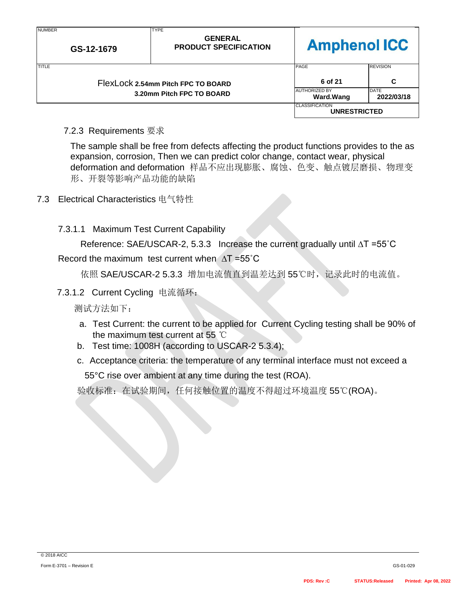| <b>NUMBER</b><br>GS-12-1679 |                                    | <b>TYPE</b><br><b>GENERAL</b><br><b>PRODUCT SPECIFICATION</b> | <b>Amphenol ICC</b>                          |                           |
|-----------------------------|------------------------------------|---------------------------------------------------------------|----------------------------------------------|---------------------------|
| TITLE                       |                                    |                                                               | <b>PAGE</b>                                  | <b>REVISION</b>           |
|                             | FlexLock 2.54mm Pitch FPC TO BOARD |                                                               | 6 of 21                                      | C                         |
| 3.20mm Pitch FPC TO BOARD   |                                    |                                                               | <b>AUTHORIZED BY</b><br>Ward.Wang            | <b>DATE</b><br>2022/03/18 |
|                             |                                    |                                                               | <b>CLASSIFICATION</b><br><b>UNRESTRICTED</b> |                           |

7.2.3 Requirements 要求

The sample shall be free from defects affecting the product functions provides to the as expansion, corrosion, Then we can predict color change, contact wear, physical deformation and deformation 样品不应出现膨胀、腐蚀、色变、触点镀层磨损、物理变 形、开裂等影响产品功能的缺陷

7.3 Electrical Characteristics 电气特性

7.3.1.1 Maximum Test Current Capability

Reference: SAE/USCAR-2, 5.3.3 Increase the current gradually until ∆T =55˚C

### Record the maximum test current when ∆T =55˚C

依照 SAE/USCAR-2 5.3.3 增加电流值直到温差达到 55℃时,记录此时的电流值。

7.3.1.2 Current Cycling 电流循环:

测试方法如下:

- a. Test Current: the current to be applied for Current Cycling testing shall be 90% of the maximum test current at 55 ℃
- b. Test time: 1008H (according to USCAR-2 5.3.4);
- c. Acceptance criteria: the temperature of any terminal interface must not exceed a 55°C rise over ambient at any time during the test (ROA).

验收标准:在试验期间,任何接触位置的温度不得超过环境温度 55℃(ROA)。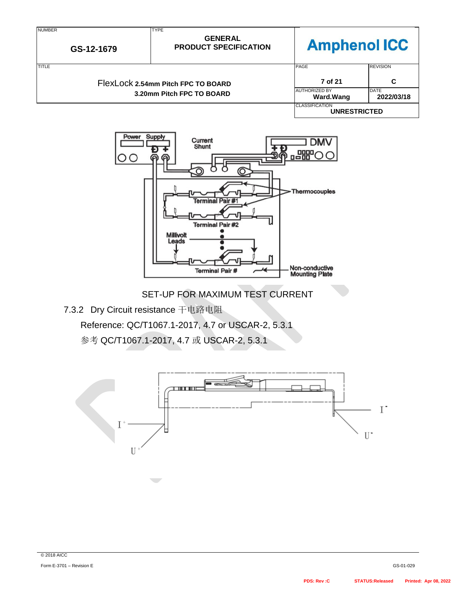



SET-UP FOR MAXIMUM TEST CURRENT

7.3.2 Dry Circuit resistance 干电路电阻

Reference: QC/T1067.1-2017, 4.7 or USCAR-2, 5.3.1

参考 QC/T1067.1-2017, 4.7 或 USCAR-2, 5.3.1

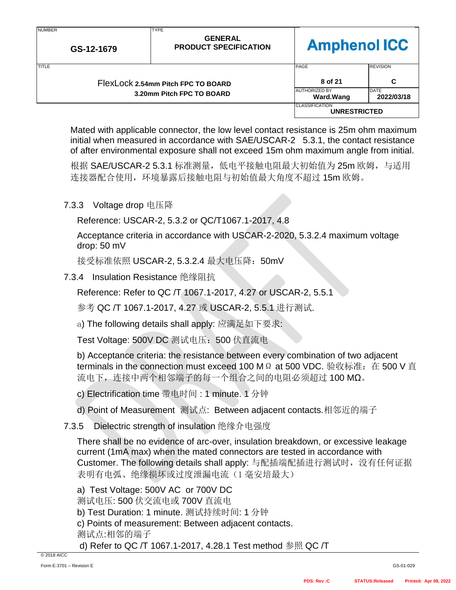| <b>NUMBER</b><br>GS-12-1679 |                                    | <b>TYPE</b><br><b>GENERAL</b><br><b>PRODUCT SPECIFICATION</b> | <b>Amphenol ICC</b>                          |                 |
|-----------------------------|------------------------------------|---------------------------------------------------------------|----------------------------------------------|-----------------|
| <b>TITLE</b>                |                                    |                                                               | PAGE                                         | <b>REVISION</b> |
|                             | FlexLock 2.54mm Pitch FPC TO BOARD |                                                               | 8 of 21                                      | C               |
| 3.20mm Pitch FPC TO BOARD   |                                    | <b>AUTHORIZED BY</b><br>Ward.Wang                             | <b>DATE</b><br>2022/03/18                    |                 |
|                             |                                    |                                                               | <b>CLASSIFICATION</b><br><b>UNRESTRICTED</b> |                 |

Mated with applicable connector, the low level contact resistance is 25m ohm maximum initial when measured in accordance with SAE/USCAR-2 5.3.1, the contact resistance of after environmental exposure shall not exceed 15m ohm maximum angle from initial.

根据 SAE/USCAR-2 5.3.1 标准测量,低电平接触电阻最大初始值为 25m 欧姆,与适用 连接器配合使用,环境暴露后接触电阻与初始值最大角度不超过 15m 欧姆。

## 7.3.3 Voltage drop 电压降

Reference: USCAR-2, 5.3.2 or QC/T1067.1-2017, 4.8

Acceptance criteria in accordance with USCAR-2-2020, 5.3.2.4 maximum voltage drop: 50 mV

接受标准依照 USCAR-2, 5.3.2.4 最大电压降:50mV

7.3.4 Insulation Resistance 绝缘阻抗

Reference: Refer to QC /T 1067.1-2017, 4.27 or USCAR-2, 5.5.1

参考 QC /T 1067.1-2017, 4.27 或 USCAR-2, 5.5.1 进行测试.

a) The following details shall apply: 应满足如下要求:

Test Voltage: 500V DC 测试电压: 500 伏直流电

b) Acceptance criteria: the resistance between every combination of two adjacent terminals in the connection must exceed 100 MΩ at 500 VDC. 验收标准: 在 500 V 直 流电下,连接中两个相邻端子的每一个组合之间的电阻必须超过 100 MΩ。

c) Electrification time 带电时间 : 1 minute. 1 分钟

d) Point of Measurement 测试点: Between adjacent contacts.相邻近的端子

7.3.5 Dielectric strength of insulation 绝缘介电强度

There shall be no evidence of arc-over, insulation breakdown, or excessive leakage current (1mA max) when the mated connectors are tested in accordance with Customer. The following details shall apply: 与配插端配插进行测试时,没有任何证据 表明有电弧、绝缘损坏或过度泄漏电流(1 毫安培最大)

a) Test Voltage: 500V AC or 700V DC

测试电压: 500 伏交流电或 700V 直流电

b) Test Duration: 1 minute. 测试持续时间: 1 分钟

c) Points of measurement: Between adjacent contacts.

测试点:相邻的端子

d) Refer to QC /T 1067.1-2017, 4.28.1 Test method 参照 QC /T

© 2018 AICC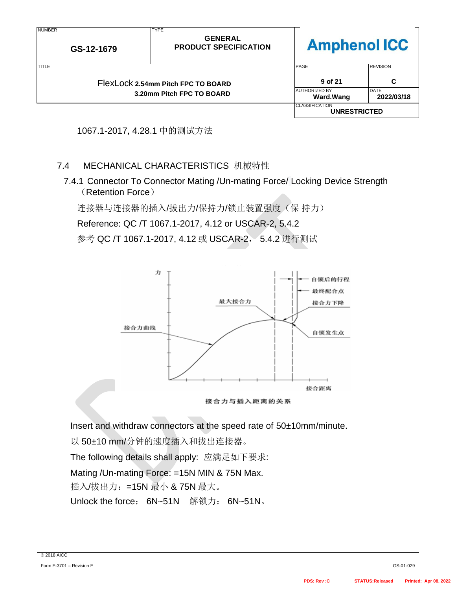| <b>NUMBER</b><br>GS-12-1679                                     |  | <b>TYPE</b><br><b>GENERAL</b><br><b>PRODUCT SPECIFICATION</b> | <b>Amphenol ICC</b>                          |                 |
|-----------------------------------------------------------------|--|---------------------------------------------------------------|----------------------------------------------|-----------------|
| <b>TITLE</b>                                                    |  |                                                               | PAGE                                         | <b>REVISION</b> |
| FlexLock 2.54mm Pitch FPC TO BOARD<br>3.20mm Pitch FPC TO BOARD |  |                                                               | 9 of 21                                      | C               |
|                                                                 |  | <b>AUTHORIZED BY</b><br>Ward.Wang                             | <b>DATE</b><br>2022/03/18                    |                 |
|                                                                 |  |                                                               | <b>CLASSIFICATION</b><br><b>UNRESTRICTED</b> |                 |



## 7.4 MECHANICAL CHARACTERISTICS 机械特性

7.4.1 Connector To Connector Mating /Un-mating Force/ Locking Device Strength (Retention Force)

连接器与连接器的插入/拔出力/保持力/锁止装置强度(保持力)

Reference: QC /T 1067.1-2017, 4.12 or USCAR-2, 5.4.2

参考 QC /T 1067.1-2017, 4.12 或 USCAR-2, 5.4.2 进行测试





Insert and withdraw connectors at the speed rate of 50±10mm/minute.

以 50±10 mm/分钟的速度插入和拔出连接器。

The following details shall apply: 应满足如下要求:

Mating /Un-mating Force: =15N MIN & 75N Max.

插入/拔出力: =15N 最小 & 75N 最大。

Unlock the force: 6N~51N 解锁力: 6N~51N。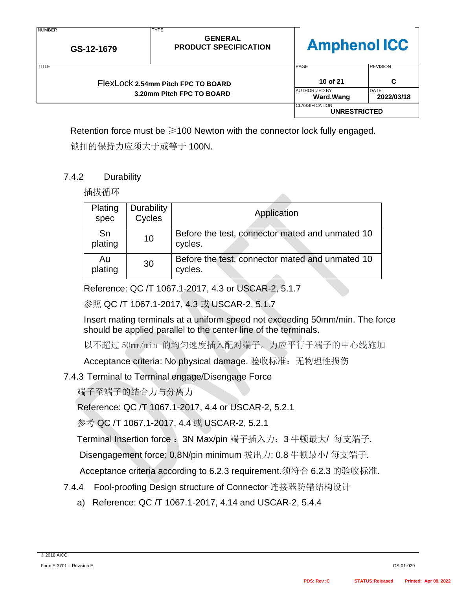| <b>NUMBER</b><br>GS-12-1679 |                                    | <b>TYPE</b><br><b>GENERAL</b><br><b>PRODUCT SPECIFICATION</b> | <b>Amphenol ICC</b>                          |                 |
|-----------------------------|------------------------------------|---------------------------------------------------------------|----------------------------------------------|-----------------|
| TITLE                       |                                    |                                                               | <b>PAGE</b>                                  | <b>REVISION</b> |
|                             | FlexLock 2.54mm Pitch FPC TO BOARD |                                                               | 10 of 21                                     | C               |
| 3.20mm Pitch FPC TO BOARD   |                                    | <b>AUTHORIZED BY</b><br><b>Ward.Wang</b>                      | <b>DATE</b><br>2022/03/18                    |                 |
|                             |                                    |                                                               | <b>CLASSIFICATION</b><br><b>UNRESTRICTED</b> |                 |

Retention force must be  $\geq 100$  Newton with the connector lock fully engaged.

锁扣的保持力应须大于或等于 100N.

## 7.4.2 Durability

插拔循环

| Plating<br>spec | Durability<br>Cycles | Application                                                |
|-----------------|----------------------|------------------------------------------------------------|
| Sn<br>plating   | 10                   | Before the test, connector mated and unmated 10<br>cycles. |
| Au<br>plating   | 30                   | Before the test, connector mated and unmated 10<br>cycles. |

Reference: QC /T 1067.1-2017, 4.3 or USCAR-2, 5.1.7

参照 QC /T 1067.1-2017, 4.3 或 USCAR-2, 5.1.7

Insert mating terminals at a uniform speed not exceeding 50mm/min. The force should be applied parallel to the center line of the terminals.

以不超过 50mm/min 的均匀速度插入配对端子。力应平行于端子的中心线施加

Acceptance criteria: No physical damage. 验收标准: 无物理性损伤

# 7.4.3 Terminal to Terminal engage/Disengage Force

端子至端子的结合力与分离力

Reference: QC /T 1067.1-2017, 4.4 or USCAR-2, 5.2.1

参考 QC /T 1067.1-2017, 4.4 或 USCAR-2, 5.2.1

Terminal Insertion force: 3N Max/pin 端子插入力: 3 牛顿最大/ 每支端子.

Disengagement force: 0.8N/pin minimum 拔出力: 0.8 牛顿最小/ 每支端子.

Acceptance criteria according to 6.2.3 requirement.须符合 6.2.3 的验收标准.

- 7.4.4 Fool-proofing Design structure of Connector 连接器防错结构设计
	- a) Reference: QC /T 1067.1-2017, 4.14 and USCAR-2, 5.4.4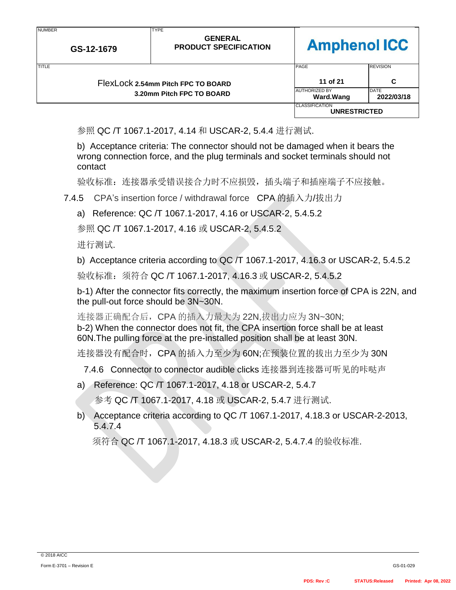| .<br>GS-12-1679 |                                    | .<br><b>GENERAL</b><br><b>PRODUCT SPECIFICATION</b> | <b>Amphenol ICC</b>                          |                           |
|-----------------|------------------------------------|-----------------------------------------------------|----------------------------------------------|---------------------------|
| <b>TITLE</b>    |                                    |                                                     | PAGE                                         | <b>REVISION</b>           |
|                 | FlexLock 2.54mm Pitch FPC TO BOARD |                                                     | 11 of 21                                     | C                         |
|                 |                                    | 3.20mm Pitch FPC TO BOARD                           | <b>AUTHORIZED BY</b><br><b>Ward.Wang</b>     | <b>DATE</b><br>2022/03/18 |
|                 |                                    |                                                     | <b>CLASSIFICATION</b><br><b>UNRESTRICTED</b> |                           |

参照 QC /T 1067.1-2017, 4.14 和 USCAR-2, 5.4.4 进行测试.

**TYPE** 

b) Acceptance criteria: The connector should not be damaged when it bears the wrong connection force, and the plug terminals and socket terminals should not contact

验收标准:连接器承受错误接合力时不应损毁,插头端子和插座端子不应接触。

7.4.5 CPA's [insertion](javascript:;) [force](javascript:;) / withdrawal force CPA 的插入力/拔出力

a) Reference: QC /T 1067.1-2017, 4.16 or USCAR-2, 5.4.5.2

参照 QC /T 1067.1-2017, 4.16 或 USCAR-2, 5.4.5.2

进行测试.

**NUMBER** 

b) Acceptance criteria according to QC /T 1067.1-2017, 4.16.3 or USCAR-2, 5.4.5.2

验收标准: 须符合 QC /T 1067.1-2017, 4.16.3 或 USCAR-2, 5.4.5.2

b-1) After the connector fits correctly, the maximum insertion force of CPA is 22N, and the pull-out force should be 3N~30N.

连接器正确配合后, CPA 的插入力最大为 22N,拔出力应为 3N~30N; b-2) When the connector does not fit, the CPA insertion force shall be at least 60N.The pulling force at the pre-installed position shall be at least 30N.

连接器没有配合时, CPA 的插入力至少为 60N;在预装位置的拔出力至少为 30N

7.4.6 Connector to connector audible clicks 连接器到连接器可听见的咔哒声

a) Reference: QC /T 1067.1-2017, 4.18 or USCAR-2, 5.4.7

参考 QC /T 1067.1-2017, 4.18 或 USCAR-2, 5.4.7 进行测试.

b) Acceptance criteria according to QC /T 1067.1-2017, 4.18.3 or USCAR-2-2013, 5.4.7.4

须符合 QC /T 1067.1-2017, 4.18.3 或 USCAR-2, 5.4.7.4 的验收标准.

ㄱ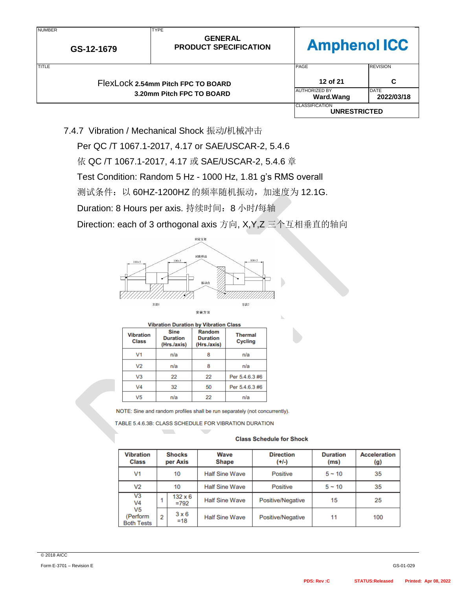| <b>NUMBER</b> | GS-12-1679 | <b>TYPE</b><br><b>GENERAL</b><br><b>Amphenol ICC</b><br><b>PRODUCT SPECIFICATION</b> |                                              |                           |
|---------------|------------|--------------------------------------------------------------------------------------|----------------------------------------------|---------------------------|
| TITLE         |            |                                                                                      | <b>PAGE</b>                                  | <b>REVISION</b>           |
|               |            | FlexLock 2.54mm Pitch FPC TO BOARD                                                   | 12 of 21                                     | C                         |
|               |            | 3.20mm Pitch FPC TO BOARD                                                            | <b>AUTHORIZED BY</b><br>Ward.Wang            | <b>DATE</b><br>2022/03/18 |
|               |            |                                                                                      | <b>CLASSIFICATION</b><br><b>UNRESTRICTED</b> |                           |

7.4.7 Vibration / Mechanical Shock 振动/机械冲击

Per QC /T 1067.1-2017, 4.17 or SAE/USCAR-2, 5.4.6 依 QC /T 1067.1-2017, 4.17 或 SAE/USCAR-2, 5.4.6 章 Test Condition: Random 5 Hz - 1000 Hz, 1.81 g's RMS overall

测试条件: 以 60HZ-1200HZ 的频率随机振动, 加速度为 12.1G.

Duration: 8 Hours per axis. 持续时间: 8 小时/每轴

Direction: each of 3 orthogonal axis 方向, X,Y,Z 三个互相垂直的轴向



| <b>Vibration Duration by Vibration Class</b> |                                               |                                          |                                  |  |  |
|----------------------------------------------|-----------------------------------------------|------------------------------------------|----------------------------------|--|--|
| <b>Vibration</b><br><b>Class</b>             | <b>Sine</b><br><b>Duration</b><br>(Hrs./axis) | Random<br><b>Duration</b><br>(Hrs./axis) | <b>Thermal</b><br><b>Cycling</b> |  |  |
| V1                                           | n/a                                           |                                          | n/a                              |  |  |
| V <sub>2</sub>                               | n/a                                           |                                          | n/a                              |  |  |
| V <sub>3</sub>                               | 22                                            | 22                                       | Per 5.4.6.3 #6                   |  |  |
| V <sub>4</sub>                               | 32                                            | 50                                       | Per 5.4.6.3 #6                   |  |  |
| V <sub>5</sub>                               | n/a                                           | 22                                       | n/a                              |  |  |

NOTE: Sine and random profiles shall be run separately (not concurrently).

TABLE 5.4.6.3B: CLASS SCHEDULE FOR VIBRATION DURATION

**Contract** 

#### **Class Schedule for Shock**

| <b>Vibration</b><br><b>Class</b>                |   | <b>Shocks</b><br>per Axis | <b>Wave</b><br><b>Shape</b> | <b>Direction</b><br>$(+1-)$ | <b>Duration</b><br>(ms) | <b>Acceleration</b><br>(g) |
|-------------------------------------------------|---|---------------------------|-----------------------------|-----------------------------|-------------------------|----------------------------|
| V <sub>1</sub>                                  |   | 10                        | <b>Half Sine Wave</b>       | <b>Positive</b>             | $5 - 10$                | 35                         |
| V <sub>2</sub>                                  |   | 10                        | <b>Half Sine Wave</b>       | <b>Positive</b>             | $5 - 10$                | 35                         |
| V3<br>V4                                        |   | $132 \times 6$<br>$=792$  | <b>Half Sine Wave</b>       | Positive/Negative           | 15                      | 25                         |
| V <sub>5</sub><br>(Perform<br><b>Both Tests</b> | 2 | $3 \times 6$<br>$=18$     | <b>Half Sine Wave</b>       | Positive/Negative           | 11                      | 100                        |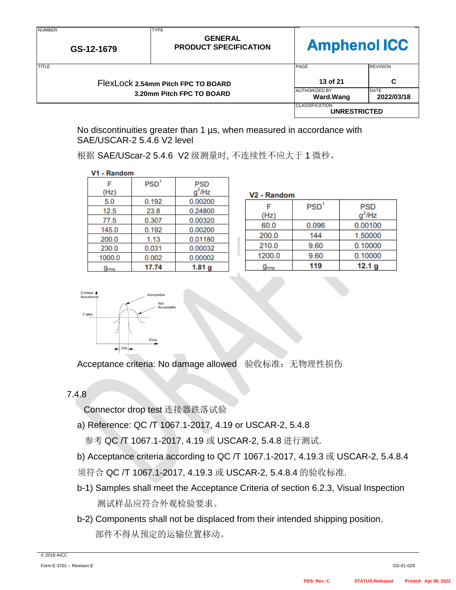| <b>NUMBER</b><br>GS-12-1679 |  | <b>TYPE</b><br><b>GENERAL</b><br><b>PRODUCT SPECIFICATION</b> | <b>Amphenol ICC</b>                          |                           |
|-----------------------------|--|---------------------------------------------------------------|----------------------------------------------|---------------------------|
| <b>TITLE</b>                |  |                                                               | <b>PAGE</b>                                  | <b>REVISION</b>           |
|                             |  | FlexLock 2.54mm Pitch FPC TO BOARD                            | 13 of 21                                     | C                         |
|                             |  | 3.20mm Pitch FPC TO BOARD                                     | <b>AUTHORIZED BY</b><br><b>Ward.Wang</b>     | <b>DATE</b><br>2022/03/18 |
|                             |  |                                                               | <b>CLASSIFICATION</b><br><b>UNRESTRICTED</b> |                           |

No discontinuities greater than 1 µs, when measured in accordance with SAE/USCAR-2 5.4.6 V2 level

| V1 - Random |                  |                  |   |
|-------------|------------------|------------------|---|
|             | PSD <sup>1</sup> | <b>PSD</b>       |   |
| (Hz)        |                  | <sup>2</sup> /Hz | V |
| 5.0         | 0.192            | 0.00200          |   |
| 12.5        | 23.8             | 0.24800          |   |
| 77.5        | 0.307            | 0.00320          |   |
| 145.0       | 0.192            | 0.00200          |   |
| 200.0       | 1.13             | 0.01180          |   |
| 230.0       | 0.031            | 0.00032          |   |
| 1000.0      | 0.002            | 0.00002          |   |
|             |                  |                  |   |

17.74

根据 SAE/UScar-2 5.4.6 V2 级测量时, 不连续性不应大于 1 微秒。

 $1.81<sub>g</sub>$ 

| V <sub>2</sub> - Random |                  |                   |  |  |  |
|-------------------------|------------------|-------------------|--|--|--|
|                         | PSD <sup>1</sup> | PSD               |  |  |  |
| (Hz)                    |                  | $q^2$ /Hz         |  |  |  |
| 60.0                    | 0.096            | 0.00100           |  |  |  |
| 200.0                   | 144              | 1.50000           |  |  |  |
| 210.0                   | 9.60             | 0.10000           |  |  |  |
| 1200.0                  | 9.60             | 0.10000           |  |  |  |
| ms                      | 119              | 12.1 <sub>g</sub> |  |  |  |



 $g<sub>rms</sub>$ 

Acceptance criteria: No damage allowed 验收标准: 无物理性损伤

## 7.4.8

Connector drop test 连接器跌落试验

a) Reference: QC /T 1067.1-2017, 4.19 or USCAR-2, 5.4.8

参考 QC /T 1067.1-2017, 4.19 或 USCAR-2, 5.4.8 进行测试.

b) Acceptance criteria according to QC /T 1067.1-2017, 4.19.3 或 USCAR-2, 5.4.8.4

须符合 QC /T 1067.1-2017, 4.19.3 或 USCAR-2, 5.4.8.4 的验收标准.

- b-1) Samples shall meet the Acceptance Criteria of section 6.2.3, Visual Inspection 测试样品应符合外观检验要求。
- b-2) Components shall not be displaced from their intended shipping position. 部件不得从预定的运输位置移动。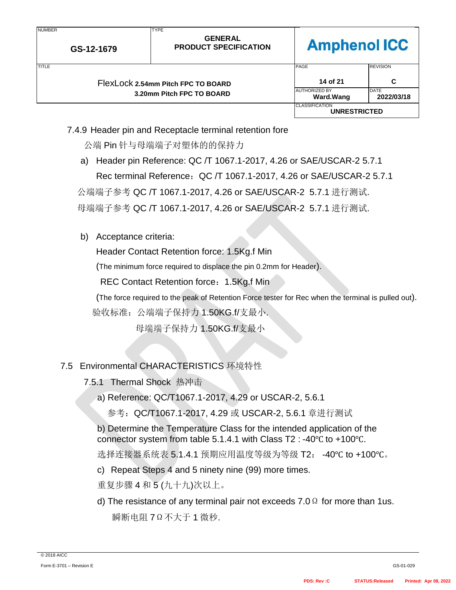| <b>NUMBER</b> | GS-12-1679 | <b>TYPE</b><br><b>GENERAL</b><br><b>PRODUCT SPECIFICATION</b> | <b>Amphenol ICC</b>                          |                    |
|---------------|------------|---------------------------------------------------------------|----------------------------------------------|--------------------|
| <b>TITLE</b>  |            |                                                               | PAGE                                         | <b>REVISION</b>    |
|               |            | FlexLock 2.54mm Pitch FPC TO BOARD                            | 14 of 21                                     | C                  |
|               |            | 3.20mm Pitch FPC TO BOARD                                     | <b>AUTHORIZED BY</b><br><b>Ward.Wang</b>     | DATE<br>2022/03/18 |
|               |            |                                                               | <b>CLASSIFICATION</b><br><b>UNRESTRICTED</b> |                    |

### 7.4.9 Header pin and Receptacle terminal retention fore

公端 Pin 针与母端端子对塑体的的保持力

a) Header pin Reference: QC /T 1067.1-2017, 4.26 or SAE/USCAR-2 5.7.1 Rec terminal Reference:QC /T 1067.1-2017, 4.26 or SAE/USCAR-2 5.7.1 公端端子参考 QC /T 1067.1-2017, 4.26 or SAE/USCAR-2 5.7.1 进行测试.

母端端子参考 QC /T 1067.1-2017, 4.26 or SAE/USCAR-2 5.7.1 进行测试.

b) Acceptance criteria:

Header Contact Retention force: 1.5Kg.f Min

(The minimum force required to displace the pin 0.2mm for Header).

REC Contact Retention force: 1.5Kg.f Min

(The force required to the peak of Retention Force tester for Rec when the terminal is pulled out).

验收标准:公端端子保持力 1.50KG.f/支最小.

母端端子保持力 1.50KG.f/支最小

## 7.5 Environmental CHARACTERISTICS 环境特性

- 7.5.1 Thermal Shock 热冲击
	- a) Reference: QC/T1067.1-2017, 4.29 or USCAR-2, 5.6.1
		- 参考:QC/T1067.1-2017, 4.29 或 USCAR-2, 5.6.1 章进行测试

b) Determine the Temperature Class for the intended application of the connector system from table 5.1.4.1 with Class T2 : -40℃ to +100℃.

选择连接器系统表 5.1.4.1 预期应用温度等级为等级 T2: -40℃ to +100℃。

c) Repeat Steps 4 and 5 ninety nine (99) more times.

重复步骤 4 和 5 (九十九)次以上。

d) The resistance of any terminal pair not exceeds 7.0  $\Omega$  for more than 1us. 瞬断电阻 7Ω不大于 1 微秒.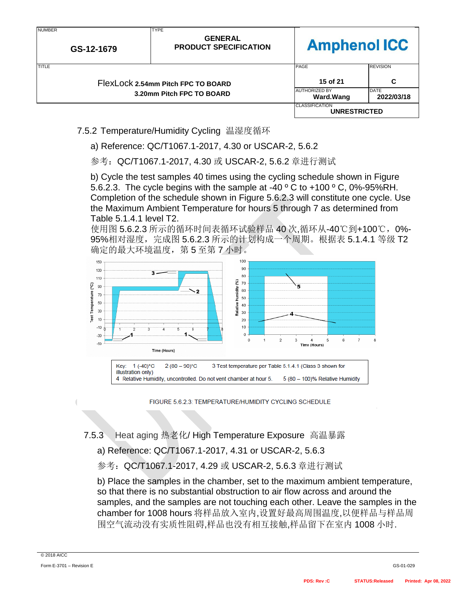| <b>NUMBER</b><br>GS-12-1679 | <b>TYPE</b><br><b>GENERAL</b><br><b>PRODUCT SPECIFICATION</b> | <b>Amphenol ICC</b>                          |                           |
|-----------------------------|---------------------------------------------------------------|----------------------------------------------|---------------------------|
| TITLE                       |                                                               | PAGE                                         | <b>REVISION</b>           |
|                             | FlexLock 2.54mm Pitch FPC TO BOARD                            | 15 of 21                                     | C                         |
|                             | 3.20mm Pitch FPC TO BOARD                                     | <b>AUTHORIZED BY</b><br><b>Ward.Wang</b>     | <b>DATE</b><br>2022/03/18 |
|                             |                                                               | <b>CLASSIFICATION</b><br><b>UNRESTRICTED</b> |                           |

7.5.2 Temperature/Humidity Cycling 温湿度循环

a) Reference: QC/T1067.1-2017, 4.30 or USCAR-2, 5.6.2

参考:QC/T1067.1-2017, 4.30 或 USCAR-2, 5.6.2 章进行测试

b) Cycle the test samples 40 times using the cycling schedule shown in Figure 5.6.2.3. The cycle begins with the sample at -40  $\degree$  C to +100  $\degree$  C, 0%-95%RH. Completion of the schedule shown in Figure 5.6.2.3 will constitute one cycle. Use the Maximum Ambient Temperature for hours 5 through 7 as determined from Table 5.1.4.1 level T2.

使用图 5.6.2.3 所示的循环时间表循环试验样品 40 次,循环从-40℃到+100℃,0%- 95%相对湿度,完成图 5.6.2.3 所示的计划构成一个周期。根据表 5.1.4.1 等级 T2 确定的最大环境温度,第5至第7小时。



FIGURE 5.6.2.3: TEMPERATURE/HUMIDITY CYCLING SCHEDULE

## 7.5.3 Heat aging 热老化/ High Temperature Exposure 高温暴露

a) Reference: QC/T1067.1-2017, 4.31 or USCAR-2, 5.6.3

参考:QC/T1067.1-2017, 4.29 或 USCAR-2, 5.6.3 章进行测试

b) Place the samples in the chamber, set to the maximum ambient temperature, so that there is no substantial obstruction to air flow across and around the samples, and the samples are not touching each other. Leave the samples in the chamber for 1008 hours 将样品放入室内,设置好最高周围温度,以便样品与样品周 围空气流动没有实质性阻碍,样品也没有相互接触,样品留下在室内 1008 小时.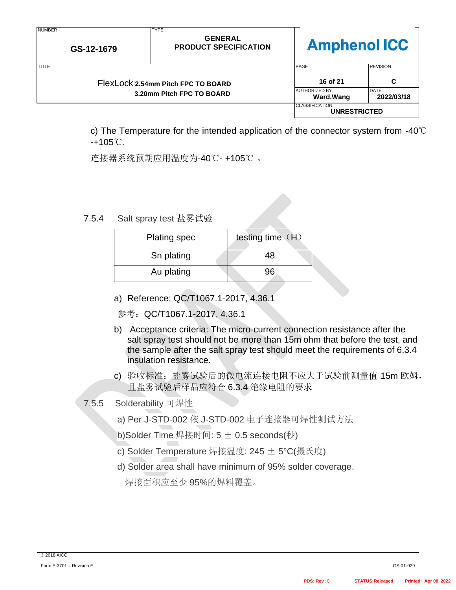| <b>NUMBER</b><br>GS-12-1679 | <b>TYPE</b><br><b>GENERAL</b><br><b>PRODUCT SPECIFICATION</b>   | <b>Amphenol ICC</b>                                           |                                            |
|-----------------------------|-----------------------------------------------------------------|---------------------------------------------------------------|--------------------------------------------|
| TITLE                       | FlexLock 2.54mm Pitch FPC TO BOARD<br>3.20mm Pitch FPC TO BOARD | PAGE<br>16 of 21<br><b>JAUTHORIZED BY</b><br><b>Ward.Wang</b> | <b>REVISION</b><br>C<br>DATE<br>2022/03/18 |
|                             |                                                                 | <b>CLASSIFICATION</b><br><b>UNRESTRICTED</b>                  |                                            |

c) The Temperature for the intended application of the connector system from -40℃ -+105℃.

连接器系统预期应用温度为-40℃- +105℃ 。

7.5.4 [Salt](javascript:;) [spray](javascript:;) [test](javascript:;) 盐雾试验

| <b>Plating spec</b> | testing time (H) |
|---------------------|------------------|
| Sn plating          | 48               |
| Au plating          |                  |

- a) Reference: QC/T1067.1-2017, 4.36.1
- 参考:QC/T1067.1-2017, 4.36.1
- b) Acceptance criteria: The micro-current connection resistance after the salt spray test should not be more than 15m ohm that before the test, and the sample after the salt spray test should meet the requirements of 6.3.4 insulation resistance.
- c) 验收标准:盐雾试验后的微电流连接电阻不应大于试验前测量值 15m 欧姆, 且盐雾试验后样品应符合 6.3.4 绝缘电阻的要求

## 7.5.5 Solderability 可焊性

- a) Per J-STD-002 依 J-STD-002 电子连接器可焊性测试方法
- b)Solder Time 焊接时间: 5 ± 0.5 seconds(秒)
- c) Solder Temperature 焊接温度: 245 ± 5°C(摄氏度)
- d) Solder area shall have minimum of 95% solder coverage.

焊接面积应至少 95%的焊料覆盖。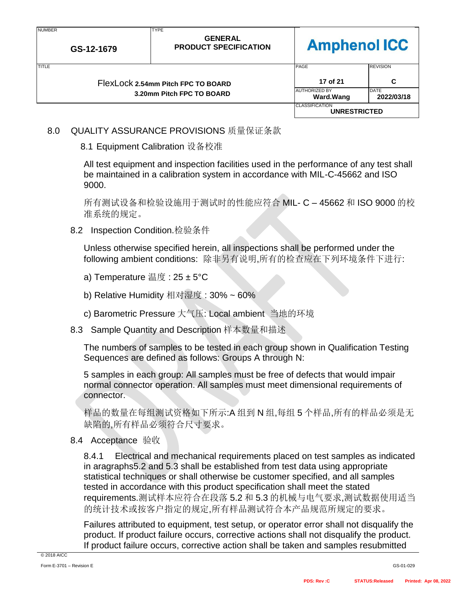| <b>NUMBER</b> | GS-12-1679 | <b>TYPE</b><br><b>GENERAL</b><br><b>PRODUCT SPECIFICATION</b>   | <b>Amphenol ICC</b>                                          |                                                   |
|---------------|------------|-----------------------------------------------------------------|--------------------------------------------------------------|---------------------------------------------------|
| <b>TITLE</b>  |            | FlexLock 2.54mm Pitch FPC TO BOARD<br>3.20mm Pitch FPC TO BOARD | PAGE<br>17 of 21<br><b>AUTHORIZED BY</b><br><b>Ward.Wang</b> | <b>REVISION</b><br>C<br><b>DATE</b><br>2022/03/18 |
|               |            |                                                                 | <b>CLASSIFICATION</b><br><b>UNRESTRICTED</b>                 |                                                   |

8.0 QUALITY ASSURANCE PROVISIONS 质量保证条款

### 8.1 Equipment Calibration 设备校准

All test equipment and inspection facilities used in the performance of any test shall be maintained in a calibration system in accordance with MIL-C-45662 and ISO 9000.

所有测试设备和检验设施用于测试时的性能应符合 MIL- C – 45662 和 ISO 9000 的校 准系统的规定。

8.2 Inspection Condition.检验条件

Unless otherwise specified herein, all inspections shall be performed under the following ambient conditions: 除非另有说明,所有的检查应在下列环境条件下进行:

- a) Temperature 温度 : 25 ± 5°C
- b) Relative Humidity 相对湿度 : 30% ~ 60%
- c) Barometric Pressure 大气压: Local ambient 当地的环境
- 8.3 Sample Quantity and Description 样本数量和描述

The numbers of samples to be tested in each group shown in Qualification Testing Sequences are defined as follows: Groups A through N:

5 samples in each group: All samples must be free of defects that would impair normal connector operation. All samples must meet dimensional requirements of connector.

样品的数量在每组测试资格如下所示:A 组到 N 组,每组 5 个样品,所有的样品必须是无 缺陷的,所有样品必须符合尺寸要求。

8.4 Acceptance 验收

8.4.1 Electrical and mechanical requirements placed on test samples as indicated in aragraphs5.2 and 5.3 shall be established from test data using appropriate statistical techniques or shall otherwise be customer specified, and all samples tested in accordance with this product specification shall meet the stated requirements.测试样本应符合在段落 5.2 和 5.3 的机械与电气要求,测试数据使用适当 的统计技术或按客户指定的规定,所有样品测试符合本产品规范所规定的要求。

Failures attributed to equipment, test setup, or operator error shall not disqualify the product. If product failure occurs, corrective actions shall not disqualify the product. If product failure occurs, corrective action shall be taken and samples resubmitted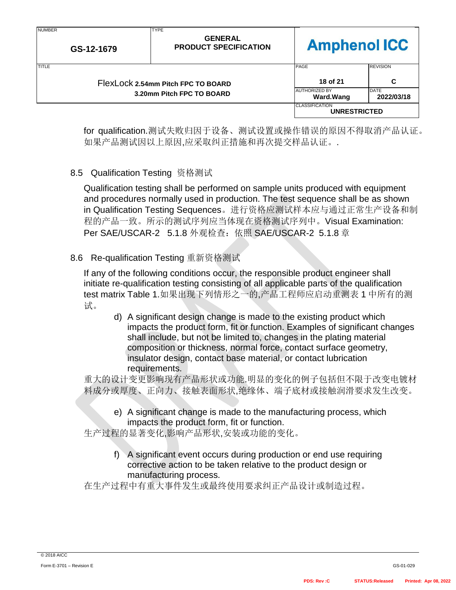| .<br>GS-12-1679 |  | .<br><b>GENERAL</b><br><b>PRODUCT SPECIFICATION</b> | <b>Amphenol ICC</b>                          |                    |
|-----------------|--|-----------------------------------------------------|----------------------------------------------|--------------------|
| <b>TITLE</b>    |  |                                                     | PAGE                                         | <b>REVISION</b>    |
|                 |  | FlexLock 2.54mm Pitch FPC TO BOARD                  | 18 of 21                                     | C                  |
|                 |  | 3.20mm Pitch FPC TO BOARD                           | <b>AUTHORIZED BY</b><br>Ward.Wang            | DATE<br>2022/03/18 |
|                 |  |                                                     | <b>CLASSIFICATION</b><br><b>UNRESTRICTED</b> |                    |

for qualification.测试失败归因于设备、测试设置或操作错误的原因不得取消产品认证。 如果产品测试因以上原因,应采取纠正措施和再次提交样品认证。.

8.5 Qualification Testing 资格测试

**TYPE** 

**NUMBER** 

Qualification testing shall be performed on sample units produced with equipment and procedures normally used in production. The test sequence shall be as shown in Qualification Testing Sequences。进行资格应测试样本应与通过正常生产设备和制 程的产品一致。所示的测试序列应当体现在资格测试序列中。Visual Examination: Per SAE/USCAR-2 5.1.8 外观检查: 依照 SAE/USCAR-2 5.1.8 章

8.6 Re-qualification Testing 重新资格测试

If any of the following conditions occur, the responsible product engineer shall initiate re-qualification testing consisting of all applicable parts of the qualification test matrix Table 1.如果出现下列情形之一的,产品工程师应启动重测表 1 中所有的测 试。

d) A significant design change is made to the existing product which impacts the product form, fit or function. Examples of significant changes shall include, but not be limited to, changes in the plating material composition or thickness, normal force, contact surface geometry, insulator design, contact base material, or contact lubrication requirements.

重大的设计变更影响现有产品形状或功能.明显的变化的例子包括但不限于改变电镀材 料成分或厚度、正向力、接触表面形状,绝缘体、端子底材或接触润滑要求发生改变。

e) A significant change is made to the manufacturing process, which impacts the product form, fit or function.

生产过程的显著变化,影响产品形状,安装或功能的变化。

f) A significant event occurs during production or end use requiring corrective action to be taken relative to the product design or manufacturing process.

在生产过程中有重大事件发生或最终使用要求纠正产品设计或制造过程。

┑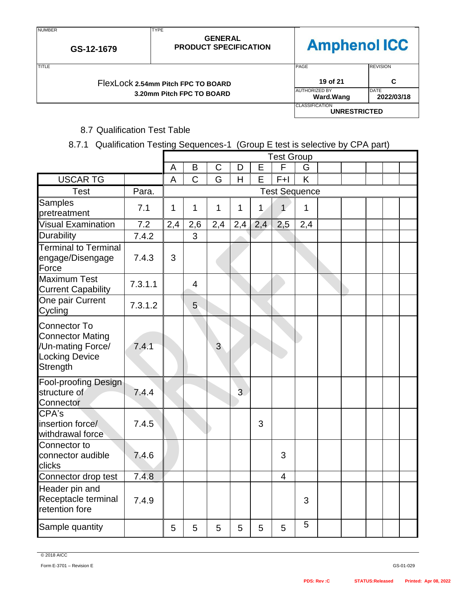| FlexLock 2.54mm Pitch FPC TO BOARD |
|------------------------------------|
| 3.20mm Pitch FPC TO BOARD          |

**GS-12-1679**

NUMBER

| <b>TITLE</b> | FlexLock 2.54mm Pitch FPC TO BOARD | PAGE<br>19 of 21                      | <b>REVISION</b>           |
|--------------|------------------------------------|---------------------------------------|---------------------------|
|              | 3.20mm Pitch FPC TO BOARD          | <b>AUTHORIZED BY</b><br>Ward.Wang     | <b>DATE</b><br>2022/03/18 |
|              |                                    | <b>CLASSIFICATION</b><br>UNRESTRICTED |                           |

## 8.7 Qualification Test Table

TYPE

### 8.7.1 Qualification Testing Sequences-1 (Group E test is selective by CPA part)

**GENERAL PRODUCT SPECIFICATION**

|                                                                                                          |         | <b>Test Group</b> |                |                |     |              |                          |     |  |  |  |
|----------------------------------------------------------------------------------------------------------|---------|-------------------|----------------|----------------|-----|--------------|--------------------------|-----|--|--|--|
|                                                                                                          |         | $\overline{A}$    | B              | $\mathsf C$    | D   | E            | $\overline{\mathsf{F}}$  | G   |  |  |  |
| <b>USCAR TG</b>                                                                                          |         | $\overline{A}$    | $\overline{C}$ | G              | H   | E            | $F+I$                    | K   |  |  |  |
| <b>Test</b>                                                                                              | Para.   |                   |                |                |     |              | <b>Test Sequence</b>     |     |  |  |  |
| <b>Samples</b><br>pretreatment                                                                           | 7.1     | $\mathbf{1}$      | 1              | 1              | 1   | $\mathbf{1}$ | $\mathbf{1}$             | 1   |  |  |  |
| <b>Visual Examination</b>                                                                                | 7.2     | 2,4               | 2,6            | 2,4            | 2,4 | 2,4          | 2,5                      | 2,4 |  |  |  |
| <b>Durability</b>                                                                                        | 7.4.2   |                   | 3              |                |     |              |                          |     |  |  |  |
| <b>Terminal to Terminal</b><br>engage/Disengage<br>Force                                                 | 7.4.3   | 3                 |                |                |     |              |                          |     |  |  |  |
| <b>Maximum Test</b><br><b>Current Capability</b>                                                         | 7.3.1.1 |                   | $\overline{4}$ |                |     |              |                          |     |  |  |  |
| One pair Current<br>Cycling                                                                              | 7.3.1.2 |                   | 5              |                |     |              |                          |     |  |  |  |
| <b>Connector To</b><br><b>Connector Mating</b><br>/Un-mating Force/<br><b>Locking Device</b><br>Strength | 7.4.1   |                   |                | $\overline{3}$ |     |              |                          |     |  |  |  |
| <b>Fool-proofing Design</b><br>structure of<br>Connector                                                 | 7.4.4   |                   |                |                | 3   |              |                          |     |  |  |  |
| CPA's<br>insertion force/<br>withdrawal force                                                            | 7.4.5   |                   |                |                |     | 3            |                          |     |  |  |  |
| Connector to<br>connector audible<br>clicks                                                              | 7.4.6   |                   |                |                |     |              | 3                        |     |  |  |  |
| Connector drop test                                                                                      | 7.4.8   |                   |                |                |     |              | $\overline{\mathcal{A}}$ |     |  |  |  |
| Header pin and<br>Receptacle terminal<br>retention fore                                                  | 7.4.9   |                   |                |                |     |              |                          | 3   |  |  |  |
| Sample quantity                                                                                          |         | 5                 | 5              | 5              | 5   | 5            | 5                        | 5   |  |  |  |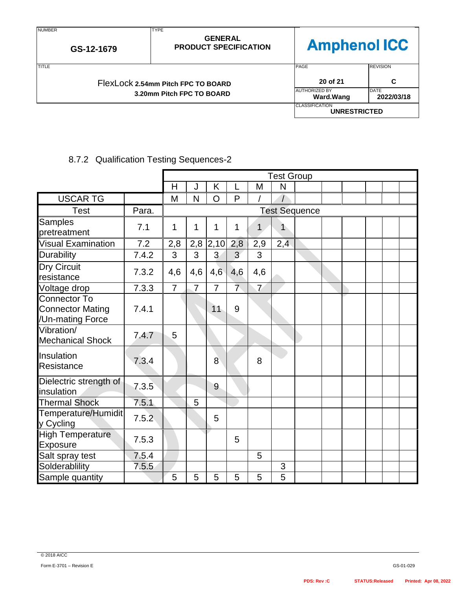| <b>NUMBER</b> | GS-12-1679                         | <b>TYPE</b><br><b>GENERAL</b><br><b>Amphenol ICC</b><br><b>PRODUCT SPECIFICATION</b> |                           |                 |  |
|---------------|------------------------------------|--------------------------------------------------------------------------------------|---------------------------|-----------------|--|
| <b>TITLE</b>  |                                    |                                                                                      | <b>PAGE</b>               | <b>REVISION</b> |  |
|               | FlexLock 2.54mm Pitch FPC TO BOARD | 20 of 21                                                                             | C                         |                 |  |
|               | 3.20mm Pitch FPC TO BOARD          | <b>AUTHORIZED BY</b><br><b>Ward.Wang</b>                                             | <b>DATE</b><br>2022/03/18 |                 |  |
|               |                                    | <b>CLASSIFICATION</b><br><b>UNRESTRICTED</b>                                         |                           |                 |  |

# 8.7.2 Qualification Testing Sequences-2

|                                                                    |       |                | <b>Test Group</b> |                |                 |                |                |                      |  |  |  |
|--------------------------------------------------------------------|-------|----------------|-------------------|----------------|-----------------|----------------|----------------|----------------------|--|--|--|
|                                                                    |       | H              | J                 | K              | L               | M              | N              |                      |  |  |  |
| <b>USCAR TG</b>                                                    |       | M              | N                 | O              | P               |                |                |                      |  |  |  |
| <b>Test</b>                                                        | Para. |                |                   |                |                 |                |                | <b>Test Sequence</b> |  |  |  |
| <b>Samples</b><br>pretreatment                                     | 7.1   | 1              | 1                 | 1              | 1               | 1              | 1              |                      |  |  |  |
| <b>Visual Examination</b>                                          | 7.2   | 2,8            | 2,8               | 2,10           | 2,8             | 2,9            | 2,4            |                      |  |  |  |
| Durability                                                         | 7.4.2 | 3              | 3                 | 3              | $\overline{3}$  | 3              |                |                      |  |  |  |
| <b>Dry Circuit</b><br>resistance                                   | 7.3.2 | 4,6            | 4,6               | 4,6            | 4,6             | 4,6            |                |                      |  |  |  |
| Voltage drop                                                       | 7.3.3 | $\overline{7}$ | $\overline{7}$    | $\overline{7}$ | $7\overline{ }$ | $\overline{7}$ |                |                      |  |  |  |
| <b>Connector To</b><br><b>Connector Mating</b><br>/Un-mating Force | 7.4.1 |                |                   | 11             | 9               |                |                |                      |  |  |  |
| Vibration/<br><b>Mechanical Shock</b>                              | 7.4.7 | 5              |                   |                |                 |                |                |                      |  |  |  |
| Insulation<br>Resistance                                           | 7.3.4 |                |                   | 8              |                 | 8              |                |                      |  |  |  |
| Dielectric strength of<br>insulation                               | 7.3.5 |                |                   | 9              |                 |                |                |                      |  |  |  |
| <b>Thermal Shock</b>                                               | 7.5.1 |                | 5                 |                |                 |                |                |                      |  |  |  |
| Temperature/Humidit<br>y Cycling                                   | 7.5.2 |                |                   | 5              |                 |                |                |                      |  |  |  |
| <b>High Temperature</b><br><b>Exposure</b>                         | 7.5.3 |                |                   |                | 5               |                |                |                      |  |  |  |
| Salt spray test                                                    | 7.5.4 |                |                   |                |                 | 5              |                |                      |  |  |  |
| Solderablility                                                     | 7.5.5 |                |                   |                |                 |                | 3              |                      |  |  |  |
| Sample quantity                                                    |       | 5              | 5                 | 5              | 5               | 5              | $\overline{5}$ |                      |  |  |  |